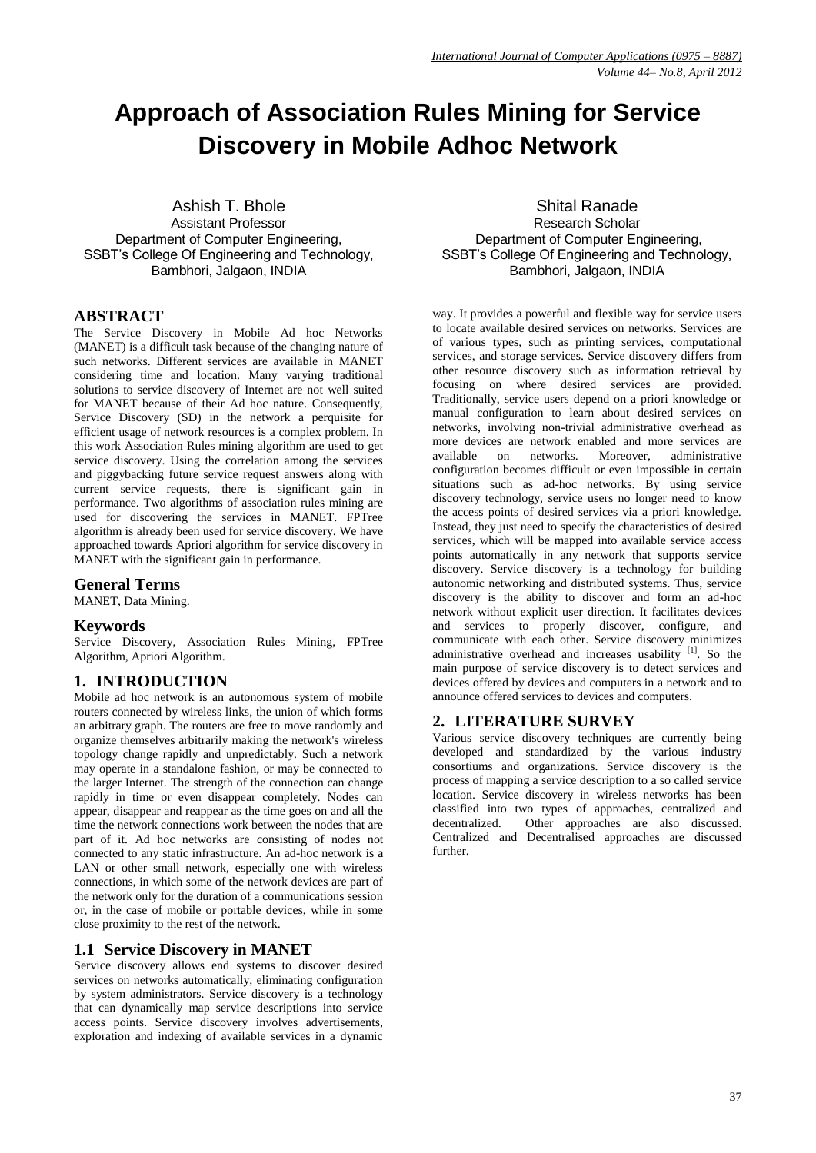# **Approach of Association Rules Mining for Service Discovery in Mobile Adhoc Network**

Ashish T. Bhole Assistant Professor Department of Computer Engineering, SSBT's College Of Engineering and Technology, Bambhori, Jalgaon, INDIA

#### **ABSTRACT**

The Service Discovery in Mobile Ad hoc Networks (MANET) is a difficult task because of the changing nature of such networks. Different services are available in MANET considering time and location. Many varying traditional solutions to service discovery of Internet are not well suited for MANET because of their Ad hoc nature. Consequently, Service Discovery (SD) in the network a perquisite for efficient usage of network resources is a complex problem. In this work Association Rules mining algorithm are used to get service discovery. Using the correlation among the services and piggybacking future service request answers along with current service requests, there is significant gain in performance. Two algorithms of association rules mining are used for discovering the services in MANET. FPTree algorithm is already been used for service discovery. We have approached towards Apriori algorithm for service discovery in MANET with the significant gain in performance.

#### **General Terms**

MANET, Data Mining.

#### **Keywords**

Service Discovery, Association Rules Mining, FPTree Algorithm, Apriori Algorithm.

## **1. INTRODUCTION**

Mobile ad hoc network is an autonomous system of mobile routers connected by wireless links, the union of which forms an arbitrary graph. The routers are free to move randomly and organize themselves arbitrarily making the network's wireless topology change rapidly and unpredictably. Such a network may operate in a standalone fashion, or may be connected to the larger Internet. The strength of the connection can change rapidly in time or even disappear completely. Nodes can appear, disappear and reappear as the time goes on and all the time the network connections work between the nodes that are part of it. Ad hoc networks are consisting of nodes not connected to any static infrastructure. An ad-hoc network is a LAN or other small network, especially one with wireless connections, in which some of the network devices are part of the network only for the duration of a communications session or, in the case of mobile or portable devices, while in some close proximity to the rest of the network.

#### **1.1 Service Discovery in MANET**

Service discovery allows end systems to discover desired services on networks automatically, eliminating configuration by system administrators. Service discovery is a technology that can dynamically map service descriptions into service access points. Service discovery involves advertisements, exploration and indexing of available services in a dynamic

Shital Ranade Research Scholar Department of Computer Engineering, SSBT's College Of Engineering and Technology, Bambhori, Jalgaon, INDIA

way. It provides a powerful and flexible way for service users to locate available desired services on networks. Services are of various types, such as printing services, computational services, and storage services. Service discovery differs from other resource discovery such as information retrieval by focusing on where desired services are provided. Traditionally, service users depend on a priori knowledge or manual configuration to learn about desired services on networks, involving non-trivial administrative overhead as more devices are network enabled and more services are available on networks. Moreover, administrative configuration becomes difficult or even impossible in certain situations such as ad-hoc networks. By using service discovery technology, service users no longer need to know the access points of desired services via a priori knowledge. Instead, they just need to specify the characteristics of desired services, which will be mapped into available service access points automatically in any network that supports service discovery. Service discovery is a technology for building autonomic networking and distributed systems. Thus, service discovery is the ability to discover and form an ad-hoc network without explicit user direction. It facilitates devices and services to properly discover, configure, and communicate with each other. Service discovery minimizes administrative overhead and increases usability [1]. So the main purpose of service discovery is to detect services and devices offered by devices and computers in a network and to announce offered services to devices and computers.

## **2. LITERATURE SURVEY**

Various service discovery techniques are currently being developed and standardized by the various industry consortiums and organizations. Service discovery is the process of mapping a service description to a so called service location. Service discovery in wireless networks has been classified into two types of approaches, centralized and decentralized. Other approaches are also discussed. Centralized and Decentralised approaches are discussed further.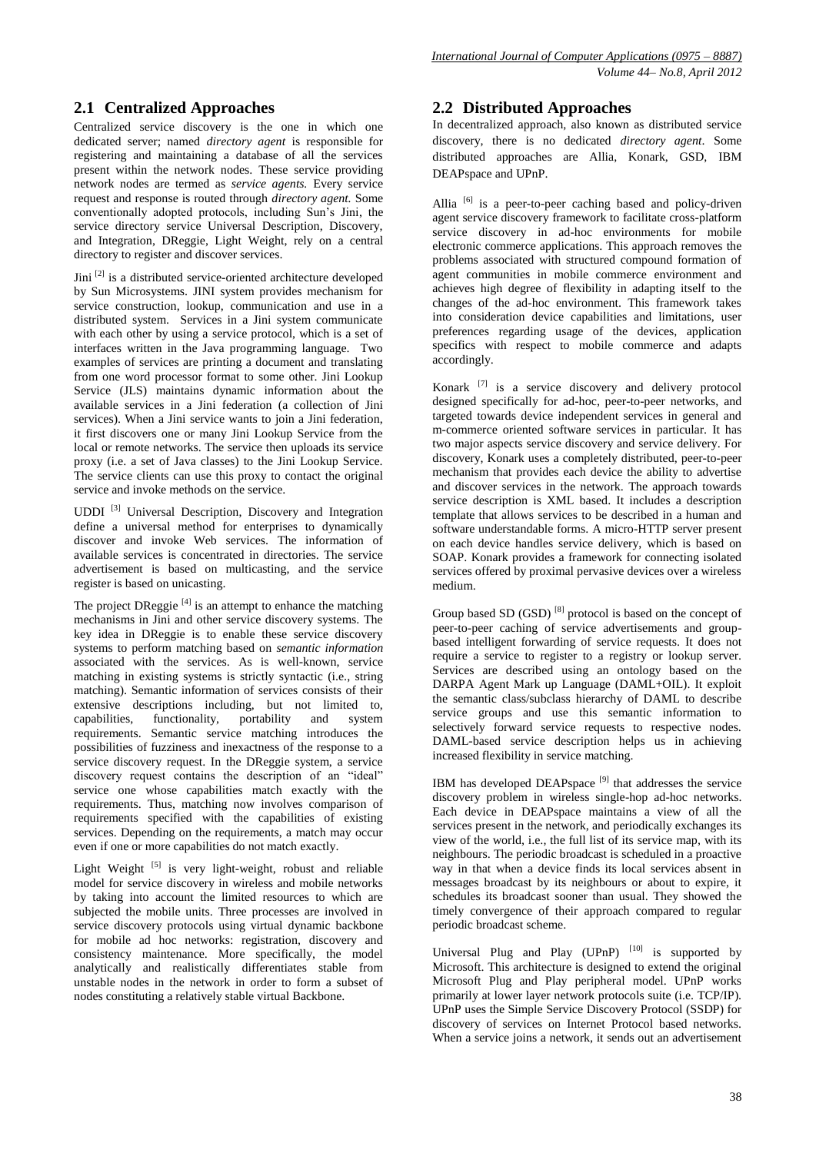## **2.1 Centralized Approaches**

Centralized service discovery is the one in which one dedicated server; named *directory agent* is responsible for registering and maintaining a database of all the services present within the network nodes. These service providing network nodes are termed as *service agents.* Every service request and response is routed through *directory agent.* Some conventionally adopted protocols, including Sun"s Jini, the service directory service Universal Description, Discovery, and Integration, DReggie, Light Weight, rely on a central directory to register and discover services.

Jini [2] is a distributed service-oriented architecture developed by Sun Microsystems. JINI system provides mechanism for service construction, lookup, communication and use in a distributed system. Services in a Jini system communicate with each other by using a service protocol, which is a set of interfaces written in the Java programming language. Two examples of services are printing a document and translating from one word processor format to some other. Jini Lookup Service (JLS) maintains dynamic information about the available services in a Jini federation (a collection of Jini services). When a Jini service wants to join a Jini federation, it first discovers one or many Jini Lookup Service from the local or remote networks. The service then uploads its service proxy (i.e. a set of Java classes) to the Jini Lookup Service. The service clients can use this proxy to contact the original service and invoke methods on the service.

UDDI [3] Universal Description, Discovery and Integration define a universal method for enterprises to dynamically discover and invoke Web services. The information of available services is concentrated in directories. The service advertisement is based on multicasting, and the service register is based on unicasting.

The project DReggie  $[4]$  is an attempt to enhance the matching mechanisms in Jini and other service discovery systems. The key idea in DReggie is to enable these service discovery systems to perform matching based on *semantic information*  associated with the services. As is well-known, service matching in existing systems is strictly syntactic (i.e., string matching). Semantic information of services consists of their extensive descriptions including, but not limited to, capabilities, functionality, portability and system requirements. Semantic service matching introduces the possibilities of fuzziness and inexactness of the response to a service discovery request. In the DReggie system, a service discovery request contains the description of an "ideal" service one whose capabilities match exactly with the requirements. Thus, matching now involves comparison of requirements specified with the capabilities of existing services. Depending on the requirements, a match may occur even if one or more capabilities do not match exactly.

Light Weight  $[5]$  is very light-weight, robust and reliable model for service discovery in wireless and mobile networks by taking into account the limited resources to which are subjected the mobile units. Three processes are involved in service discovery protocols using virtual dynamic backbone for mobile ad hoc networks: registration, discovery and consistency maintenance. More specifically, the model analytically and realistically differentiates stable from unstable nodes in the network in order to form a subset of nodes constituting a relatively stable virtual Backbone.

#### **2.2 Distributed Approaches**

In decentralized approach, also known as distributed service discovery, there is no dedicated *directory agent*. Some distributed approaches are Allia, Konark, GSD, IBM DEAPspace and UPnP.

Allia <sup>[6]</sup> is a peer-to-peer caching based and policy-driven agent service discovery framework to facilitate cross-platform service discovery in ad-hoc environments for mobile electronic commerce applications. This approach removes the problems associated with structured compound formation of agent communities in mobile commerce environment and achieves high degree of flexibility in adapting itself to the changes of the ad-hoc environment. This framework takes into consideration device capabilities and limitations, user preferences regarding usage of the devices, application specifics with respect to mobile commerce and adapts accordingly.

Konark [7] is a service discovery and delivery protocol designed specifically for ad-hoc, peer-to-peer networks, and targeted towards device independent services in general and m-commerce oriented software services in particular. It has two major aspects service discovery and service delivery. For discovery, Konark uses a completely distributed, peer-to-peer mechanism that provides each device the ability to advertise and discover services in the network. The approach towards service description is XML based. It includes a description template that allows services to be described in a human and software understandable forms. A micro-HTTP server present on each device handles service delivery, which is based on SOAP. Konark provides a framework for connecting isolated services offered by proximal pervasive devices over a wireless medium.

Group based SD (GSD) [8] protocol is based on the concept of peer-to-peer caching of service advertisements and groupbased intelligent forwarding of service requests. It does not require a service to register to a registry or lookup server. Services are described using an ontology based on the DARPA Agent Mark up Language (DAML+OIL). It exploit the semantic class/subclass hierarchy of DAML to describe service groups and use this semantic information to selectively forward service requests to respective nodes. DAML-based service description helps us in achieving increased flexibility in service matching.

IBM has developed DEAPspace [9] that addresses the service discovery problem in wireless single-hop ad-hoc networks. Each device in DEAPspace maintains a view of all the services present in the network, and periodically exchanges its view of the world, i.e., the full list of its service map, with its neighbours. The periodic broadcast is scheduled in a proactive way in that when a device finds its local services absent in messages broadcast by its neighbours or about to expire, it schedules its broadcast sooner than usual. They showed the timely convergence of their approach compared to regular periodic broadcast scheme.

Universal Plug and Play (UPnP)  $[10]$  is supported by Microsoft. This architecture is designed to extend the original Microsoft Plug and Play peripheral model. UPnP works primarily at lower layer network protocols suite (i.e. TCP/IP). UPnP uses the Simple Service Discovery Protocol (SSDP) for discovery of services on Internet Protocol based networks. When a service joins a network, it sends out an advertisement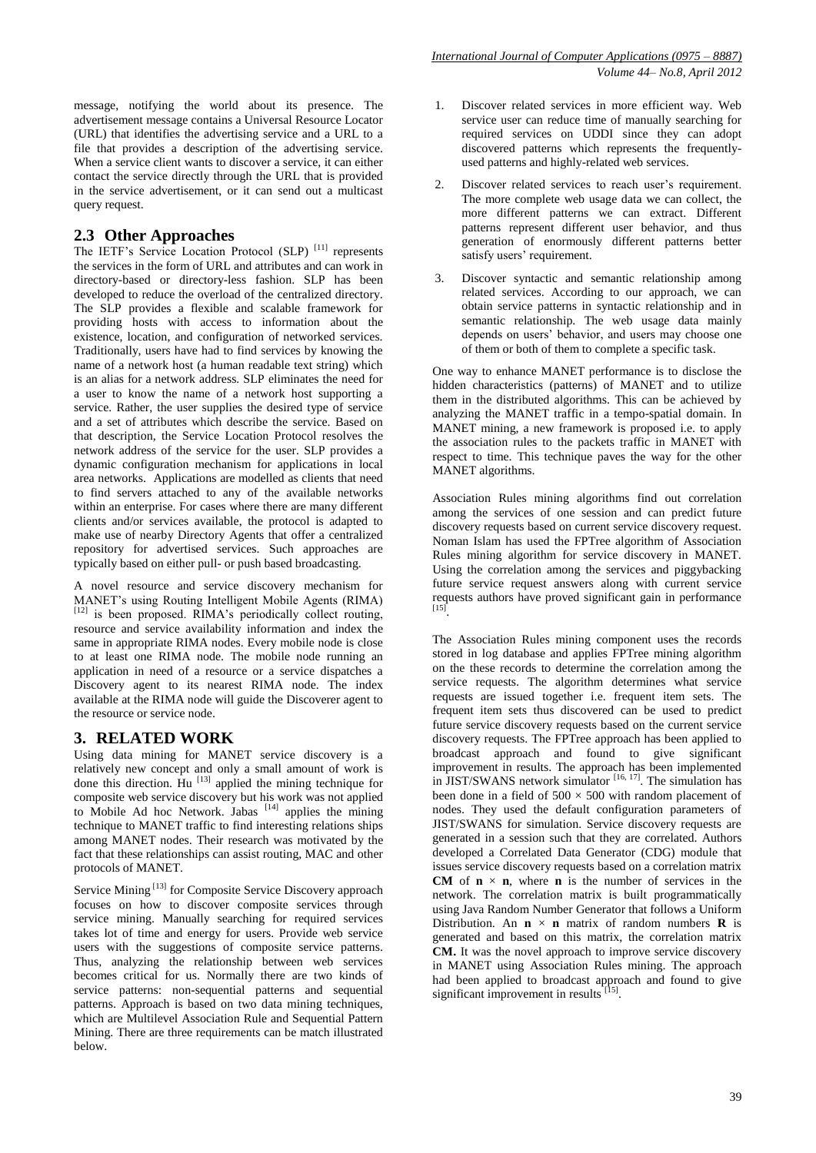message, notifying the world about its presence. The advertisement message contains a Universal Resource Locator (URL) that identifies the advertising service and a URL to a file that provides a description of the advertising service. When a service client wants to discover a service, it can either contact the service directly through the URL that is provided in the service advertisement, or it can send out a multicast query request.

#### **2.3 Other Approaches**

The IETF's Service Location Protocol (SLP)<sup>[11]</sup> represents the services in the form of URL and attributes and can work in directory-based or directory-less fashion. SLP has been developed to reduce the overload of the centralized directory. The SLP provides a flexible and scalable framework for providing hosts with access to information about the existence, location, and configuration of networked services. Traditionally, users have had to find services by knowing the name of a network host (a human readable text string) which is an alias for a network address. SLP eliminates the need for a user to know the name of a network host supporting a service. Rather, the user supplies the desired type of service and a set of attributes which describe the service. Based on that description, the Service Location Protocol resolves the network address of the service for the user. SLP provides a dynamic configuration mechanism for applications in local area networks. Applications are modelled as clients that need to find servers attached to any of the available networks within an enterprise. For cases where there are many different clients and/or services available, the protocol is adapted to make use of nearby Directory Agents that offer a centralized repository for advertised services. Such approaches are typically based on either pull- or push based broadcasting.

A novel resource and service discovery mechanism for MANET"s using Routing Intelligent Mobile Agents (RIMA) [12] is been proposed. RIMA's periodically collect routing, resource and service availability information and index the same in appropriate RIMA nodes. Every mobile node is close to at least one RIMA node. The mobile node running an application in need of a resource or a service dispatches a Discovery agent to its nearest RIMA node. The index available at the RIMA node will guide the Discoverer agent to the resource or service node.

#### **3. RELATED WORK**

Using data mining for MANET service discovery is a relatively new concept and only a small amount of work is done this direction. Hu<sup>[13]</sup> applied the mining technique for composite web service discovery but his work was not applied to Mobile Ad hoc Network. Jabas  $[14]$  applies the mining technique to MANET traffic to find interesting relations ships among MANET nodes. Their research was motivated by the fact that these relationships can assist routing, MAC and other protocols of MANET.

Service Mining<sup>[13]</sup> for Composite Service Discovery approach focuses on how to discover composite services through service mining. Manually searching for required services takes lot of time and energy for users. Provide web service users with the suggestions of composite service patterns. Thus, analyzing the relationship between web services becomes critical for us. Normally there are two kinds of service patterns: non-sequential patterns and sequential patterns. Approach is based on two data mining techniques, which are Multilevel Association Rule and Sequential Pattern Mining. There are three requirements can be match illustrated below.

- 1. Discover related services in more efficient way. Web service user can reduce time of manually searching for required services on UDDI since they can adopt discovered patterns which represents the frequentlyused patterns and highly-related web services.
- 2. Discover related services to reach user"s requirement. The more complete web usage data we can collect, the more different patterns we can extract. Different patterns represent different user behavior, and thus generation of enormously different patterns better satisfy users' requirement.
- 3. Discover syntactic and semantic relationship among related services. According to our approach, we can obtain service patterns in syntactic relationship and in semantic relationship. The web usage data mainly depends on users" behavior, and users may choose one of them or both of them to complete a specific task.

One way to enhance MANET performance is to disclose the hidden characteristics (patterns) of MANET and to utilize them in the distributed algorithms. This can be achieved by analyzing the MANET traffic in a tempo-spatial domain. In MANET mining, a new framework is proposed i.e. to apply the association rules to the packets traffic in MANET with respect to time. This technique paves the way for the other MANET algorithms.

Association Rules mining algorithms find out correlation among the services of one session and can predict future discovery requests based on current service discovery request. Noman Islam has used the FPTree algorithm of Association Rules mining algorithm for service discovery in MANET. Using the correlation among the services and piggybacking future service request answers along with current service requests authors have proved significant gain in performance [15] .

The Association Rules mining component uses the records stored in log database and applies FPTree mining algorithm on the these records to determine the correlation among the service requests. The algorithm determines what service requests are issued together i.e. frequent item sets. The frequent item sets thus discovered can be used to predict future service discovery requests based on the current service discovery requests. The FPTree approach has been applied to broadcast approach and found to give significant improvement in results. The approach has been implemented in JIST/SWANS network simulator [16, 17]. The simulation has been done in a field of  $500 \times 500$  with random placement of nodes. They used the default configuration parameters of JIST/SWANS for simulation. Service discovery requests are generated in a session such that they are correlated. Authors developed a Correlated Data Generator (CDG) module that issues service discovery requests based on a correlation matrix **CM** of  $\bf{n} \times \bf{n}$ , where **n** is the number of services in the network. The correlation matrix is built programmatically using Java Random Number Generator that follows a Uniform Distribution. An  $\mathbf{n} \times \mathbf{n}$  matrix of random numbers **R** is generated and based on this matrix, the correlation matrix **CM.** It was the novel approach to improve service discovery in MANET using Association Rules mining. The approach had been applied to broadcast approach and found to give significant improvement in results [15].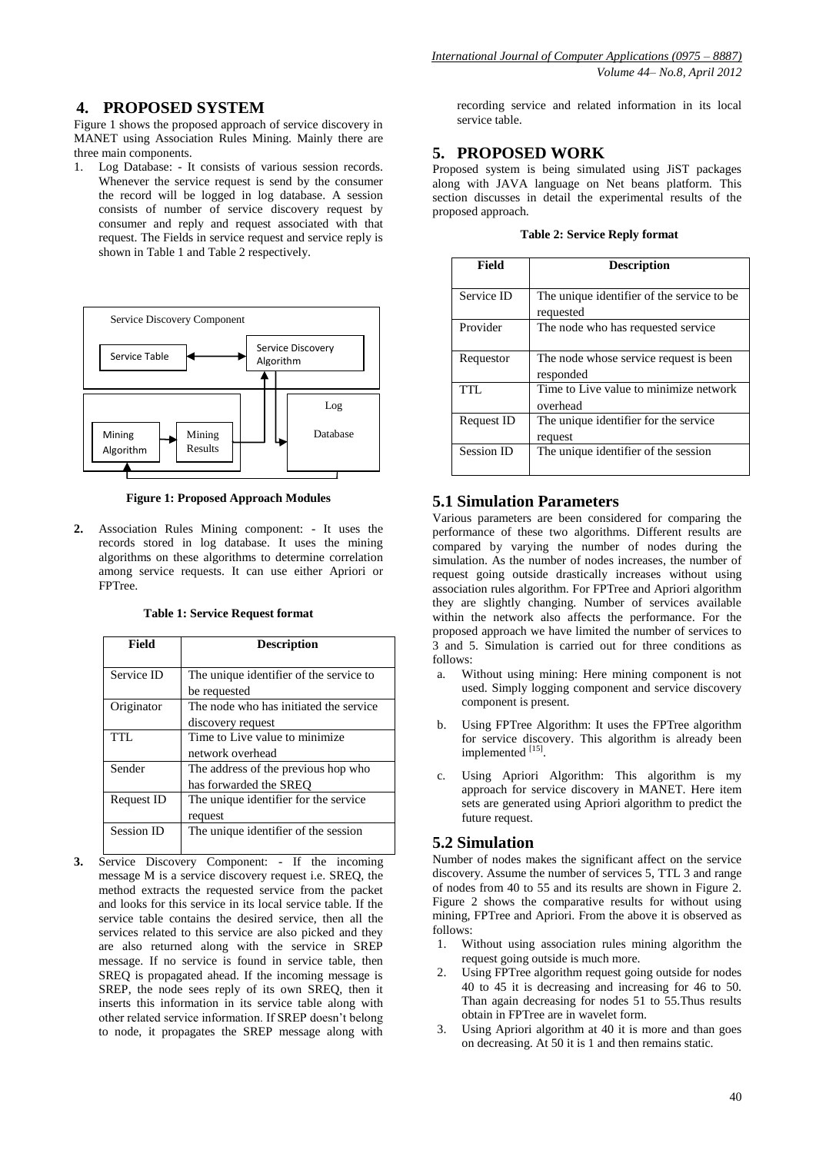## **4. PROPOSED SYSTEM**

Figure 1 shows the proposed approach of service discovery in MANET using Association Rules Mining. Mainly there are three main components.

1. Log Database: - It consists of various session records. Whenever the service request is send by the consumer the record will be logged in log database. A session consists of number of service discovery request by consumer and reply and request associated with that request. The Fields in service request and service reply is shown in Table 1 and Table 2 respectively.



**Figure 1: Proposed Approach Modules**

**2.** Association Rules Mining component: - It uses the records stored in log database. It uses the mining algorithms on these algorithms to determine correlation among service requests. It can use either Apriori or FPTree.

**Table 1: Service Request format**

| Field             | <b>Description</b>                      |
|-------------------|-----------------------------------------|
|                   |                                         |
| Service ID        | The unique identifier of the service to |
|                   | be requested                            |
| Originator        | The node who has initiated the service  |
|                   | discovery request                       |
| TTL               | Time to Live value to minimize          |
|                   | network overhead                        |
| Sender            | The address of the previous hop who     |
|                   | has forwarded the SREO                  |
| <b>Request ID</b> | The unique identifier for the service   |
|                   | request                                 |
| <b>Session ID</b> | The unique identifier of the session    |
|                   |                                         |

**3.** Service Discovery Component: - If the incoming message M is a service discovery request i.e. SREQ, the method extracts the requested service from the packet and looks for this service in its local service table. If the service table contains the desired service, then all the services related to this service are also picked and they are also returned along with the service in SREP message. If no service is found in service table, then SREQ is propagated ahead. If the incoming message is SREP, the node sees reply of its own SREQ, then it inserts this information in its service table along with other related service information. If SREP doesn"t belong to node, it propagates the SREP message along with

recording service and related information in its local service table.

#### **5. PROPOSED WORK**

Proposed system is being simulated using JiST packages along with JAVA language on Net beans platform. This section discusses in detail the experimental results of the proposed approach.

|  | <b>Table 2: Service Reply format</b> |  |
|--|--------------------------------------|--|
|  |                                      |  |

| Field             | <b>Description</b>                                       |
|-------------------|----------------------------------------------------------|
| Service ID        | The unique identifier of the service to be.<br>requested |
| Provider          | The node who has requested service.                      |
| Requestor         | The node whose service request is been<br>responded      |
| TTL.              | Time to Live value to minimize network<br>overhead       |
| <b>Request ID</b> | The unique identifier for the service<br>request         |
| <b>Session ID</b> | The unique identifier of the session                     |

### **5.1 Simulation Parameters**

Various parameters are been considered for comparing the performance of these two algorithms. Different results are compared by varying the number of nodes during the simulation. As the number of nodes increases, the number of request going outside drastically increases without using association rules algorithm. For FPTree and Apriori algorithm they are slightly changing. Number of services available within the network also affects the performance. For the proposed approach we have limited the number of services to 3 and 5. Simulation is carried out for three conditions as follows:

- a. Without using mining: Here mining component is not used. Simply logging component and service discovery component is present.
- b. Using FPTree Algorithm: It uses the FPTree algorithm for service discovery. This algorithm is already been implemented [15].
- c. Using Apriori Algorithm: This algorithm is my approach for service discovery in MANET. Here item sets are generated using Apriori algorithm to predict the future request.

#### **5.2 Simulation**

Number of nodes makes the significant affect on the service discovery. Assume the number of services 5, TTL 3 and range of nodes from 40 to 55 and its results are shown in Figure 2. Figure 2 shows the comparative results for without using mining, FPTree and Apriori. From the above it is observed as follows:

- 1. Without using association rules mining algorithm the request going outside is much more.
- 2. Using FPTree algorithm request going outside for nodes 40 to 45 it is decreasing and increasing for 46 to 50. Than again decreasing for nodes 51 to 55.Thus results obtain in FPTree are in wavelet form.
- 3. Using Apriori algorithm at 40 it is more and than goes on decreasing. At 50 it is 1 and then remains static.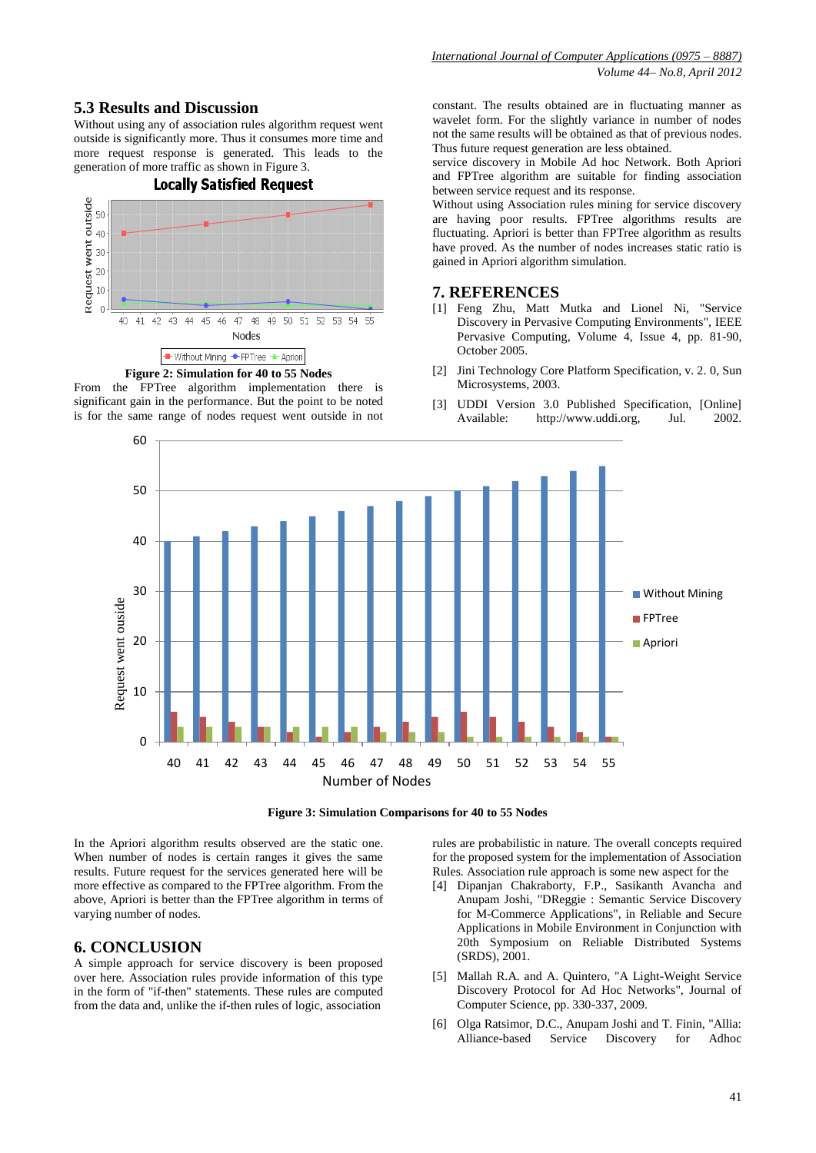## **5.3 Results and Discussion**

Without using any of association rules algorithm request went outside is significantly more. Thus it consumes more time and more request response is generated. This leads to the generation of more traffic as shown in Figure 3.

## **Locally Satisfied Request**





From the FPTree algorithm implementation there is significant gain in the performance. But the point to be noted is for the same range of nodes request went outside in not constant. The results obtained are in fluctuating manner as wavelet form. For the slightly variance in number of nodes not the same results will be obtained as that of previous nodes. Thus future request generation are less obtained.

service discovery in Mobile Ad hoc Network. Both Apriori and FPTree algorithm are suitable for finding association between service request and its response.

Without using Association rules mining for service discovery are having poor results. FPTree algorithms results are fluctuating. Apriori is better than FPTree algorithm as results have proved. As the number of nodes increases static ratio is gained in Apriori algorithm simulation.

### **7. REFERENCES**

- [1] Feng Zhu, Matt Mutka and Lionel Ni, "Service Discovery in Pervasive Computing Environments", IEEE Pervasive Computing, Volume 4, Issue 4, pp. 81-90, October 2005.
- [2] Jini Technology Core Platform Specification, v. 2. 0, Sun Microsystems, 2003.
- [3] UDDI Version 3.0 Published Specification, [Online] Available: http://www.uddi.org, Jul. 2002.



**Figure 3: Simulation Comparisons for 40 to 55 Nodes**

In the Apriori algorithm results observed are the static one. When number of nodes is certain ranges it gives the same results. Future request for the services generated here will be more effective as compared to the FPTree algorithm. From the above, Apriori is better than the FPTree algorithm in terms of varying number of nodes.

## **6. CONCLUSION**

A simple approach for service discovery is been proposed over here. Association rules provide information of this type in the form of "if-then" statements. These rules are computed from the data and, unlike the if-then rules of logic, association

rules are probabilistic in nature. The overall concepts required for the proposed system for the implementation of Association Rules. Association rule approach is some new aspect for the

- [4] Dipanjan Chakraborty, F.P., Sasikanth Avancha and Anupam Joshi, "DReggie : Semantic Service Discovery for M-Commerce Applications", in Reliable and Secure Applications in Mobile Environment in Conjunction with 20th Symposium on Reliable Distributed Systems (SRDS), 2001.
- [5] Mallah R.A. and A. Quintero, "A Light-Weight Service Discovery Protocol for Ad Hoc Networks", Journal of Computer Science, pp. 330-337, 2009.
- [6] Olga Ratsimor, D.C., Anupam Joshi and T. Finin, "Allia: Alliance-based Service Discovery for Adhoc